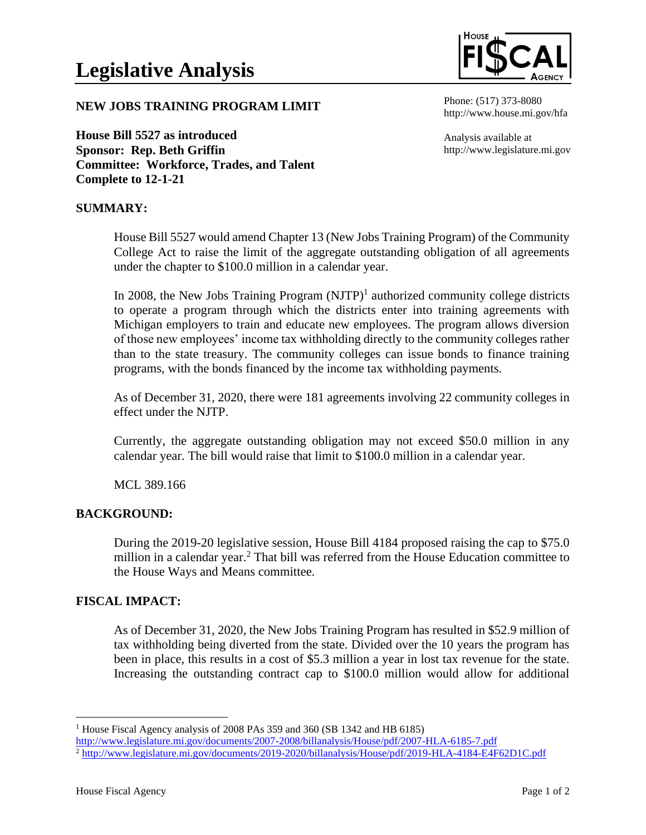

## **NEW JOBS TRAINING PROGRAM LIMIT**

**House Bill 5527 as introduced Sponsor: Rep. Beth Griffin Committee: Workforce, Trades, and Talent Complete to 12-1-21**

#### Phone: (517) 373-8080 http://www.house.mi.gov/hfa

Analysis available at http://www.legislature.mi.gov

# **SUMMARY:**

House Bill 5527 would amend Chapter 13 (New Jobs Training Program) of the Community College Act to raise the limit of the aggregate outstanding obligation of all agreements under the chapter to \$100.0 million in a calendar year.

In 2008, the New Jobs Training Program  $(NJTP)^1$  authorized community college districts to operate a program through which the districts enter into training agreements with Michigan employers to train and educate new employees. The program allows diversion of those new employees' income tax withholding directly to the community colleges rather than to the state treasury. The community colleges can issue bonds to finance training programs, with the bonds financed by the income tax withholding payments.

As of December 31, 2020, there were 181 agreements involving 22 community colleges in effect under the NJTP.

Currently, the aggregate outstanding obligation may not exceed \$50.0 million in any calendar year. The bill would raise that limit to \$100.0 million in a calendar year.

MCL 389.166

## **BACKGROUND:**

During the 2019-20 legislative session, House Bill 4184 proposed raising the cap to \$75.0 million in a calendar year.<sup>2</sup> That bill was referred from the House Education committee to the House Ways and Means committee.

## **FISCAL IMPACT:**

As of December 31, 2020, the New Jobs Training Program has resulted in \$52.9 million of tax withholding being diverted from the state. Divided over the 10 years the program has been in place, this results in a cost of \$5.3 million a year in lost tax revenue for the state. Increasing the outstanding contract cap to \$100.0 million would allow for additional

<sup>&</sup>lt;sup>1</sup> House Fiscal Agency analysis of 2008 PAs 359 and 360 (SB 1342 and HB 6185)

<http://www.legislature.mi.gov/documents/2007-2008/billanalysis/House/pdf/2007-HLA-6185-7.pdf>

<sup>2</sup> <http://www.legislature.mi.gov/documents/2019-2020/billanalysis/House/pdf/2019-HLA-4184-E4F62D1C.pdf>